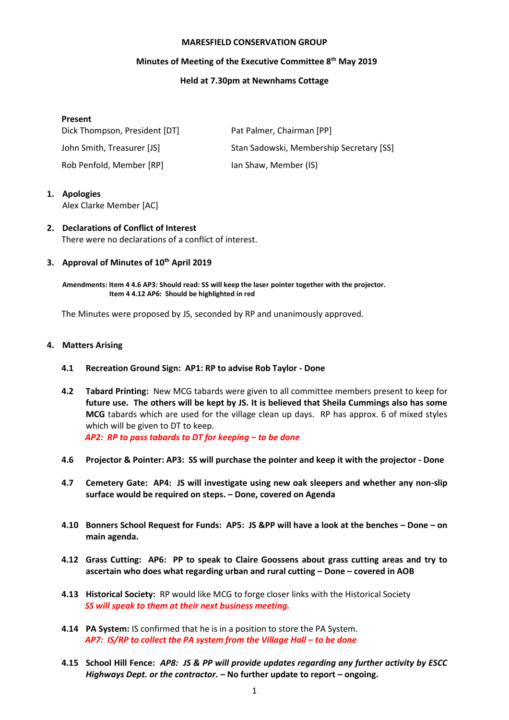#### **MARESFIELD CONSERVATION GROUP**

## **Minutes of Meeting of the Executive Committee 8 th May 2019**

#### **Held at 7.30pm at Newnhams Cottage**

## **Present**

| Dick Thompson, President [DT] | Pat Palmer, Chairman [PP]                |
|-------------------------------|------------------------------------------|
| John Smith, Treasurer [JS]    | Stan Sadowski, Membership Secretary [SS] |
| Rob Penfold, Member [RP]      | Ian Shaw, Member (IS)                    |

# **1. Apologies**

Alex Clarke Member [AC]

# **2. Declarations of Conflict of Interest** There were no declarations of a conflict of interest.

## **3. Approval of Minutes of 10 th April 2019**

**Amendments: Item 4 4.6 AP3: Should read: SS will keep the laser pointer together with the projector. Item 4 4.12 AP6: Should be highlighted in red**

The Minutes were proposed by JS, seconded by RP and unanimously approved.

#### **4. Matters Arising**

- **4.1 Recreation Ground Sign: AP1: RP to advise Rob Taylor - Done**
- **4.2 Tabard Printing:** New MCG tabards were given to all committee members present to keep for **future use. The others will be kept by JS. It is believed that Sheila Cummings also has some MCG** tabards which are used for the village clean up days. RP has approx. 6 of mixed styles which will be given to DT to keep.  *AP2: RP to pass tabards to DT for keeping – to be done*

**4.6 Projector & Pointer: AP3: SS will purchase the pointer and keep it with the projector - Done**

- **4.7 Cemetery Gate: AP4: JS will investigate using new oak sleepers and whether any non-slip surface would be required on steps. – Done, covered on Agenda**
- **4.10 Bonners School Request for Funds: AP5: JS &PP will have a look at the benches – Done – on main agenda.**
- **4.12 Grass Cutting: AP6: PP to speak to Claire Goossens about grass cutting areas and try to ascertain who does what regarding urban and rural cutting – Done – covered in AOB**
- **4.13 Historical Society:** RP would like MCG to forge closer links with the Historical Society *SS will speak to them at their next business meeting.*
- **4.14 PA System:** IS confirmed that he is in a position to store the PA System. *AP7: IS/RP to collect the PA system from the Village Hall – to be done*
- **4.15 School Hill Fence:** *AP8: JS & PP will provide updates regarding any further activity by ESCC Highways Dept. or the contractor. –* **No further update to report – ongoing.**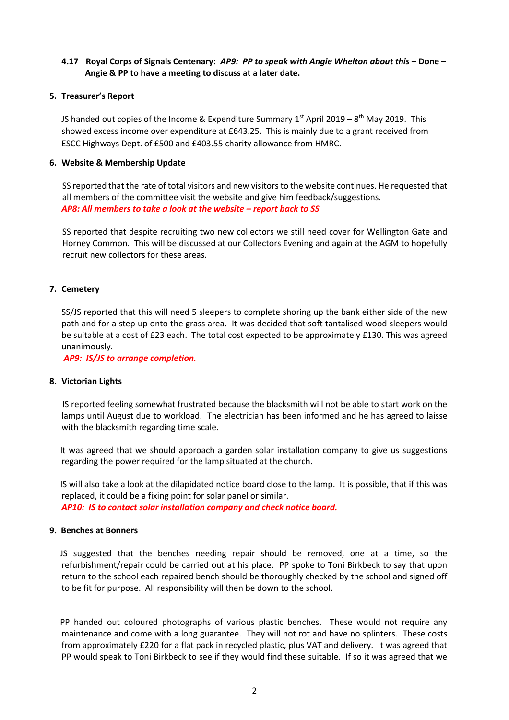# **4.17 Royal Corps of Signals Centenary:** *AP9: PP to speak with Angie Whelton about this* **– Done – Angie & PP to have a meeting to discuss at a later date.**

#### **5. Treasurer's Report**

JS handed out copies of the Income & Expenditure Summary 1<sup>st</sup> April 2019 – 8<sup>th</sup> May 2019. This showed excess income over expenditure at £643.25. This is mainly due to a grant received from ESCC Highways Dept. of £500 and £403.55 charity allowance from HMRC.

#### **6. Website & Membership Update**

SS reported that the rate of total visitors and new visitors to the website continues. He requested that all members of the committee visit the website and give him feedback/suggestions. *AP8: All members to take a look at the website – report back to SS*

SS reported that despite recruiting two new collectors we still need cover for Wellington Gate and Horney Common. This will be discussed at our Collectors Evening and again at the AGM to hopefully recruit new collectors for these areas.

#### **7. Cemetery**

SS/JS reported that this will need 5 sleepers to complete shoring up the bank either side of the new path and for a step up onto the grass area. It was decided that soft tantalised wood sleepers would be suitable at a cost of £23 each. The total cost expected to be approximately £130. This was agreed unanimously.

*AP9: IS/JS to arrange completion.* 

## **8. Victorian Lights**

IS reported feeling somewhat frustrated because the blacksmith will not be able to start work on the lamps until August due to workload. The electrician has been informed and he has agreed to laisse with the blacksmith regarding time scale.

 It was agreed that we should approach a garden solar installation company to give us suggestions regarding the power required for the lamp situated at the church.

 IS will also take a look at the dilapidated notice board close to the lamp. It is possible, that if this was replaced, it could be a fixing point for solar panel or similar. *AP10: IS to contact solar installation company and check notice board.*

# **9. Benches at Bonners**

JS suggested that the benches needing repair should be removed, one at a time, so the refurbishment/repair could be carried out at his place. PP spoke to Toni Birkbeck to say that upon return to the school each repaired bench should be thoroughly checked by the school and signed off to be fit for purpose. All responsibility will then be down to the school.

PP handed out coloured photographs of various plastic benches. These would not require any maintenance and come with a long guarantee. They will not rot and have no splinters. These costs from approximately £220 for a flat pack in recycled plastic, plus VAT and delivery. It was agreed that PP would speak to Toni Birkbeck to see if they would find these suitable. If so it was agreed that we